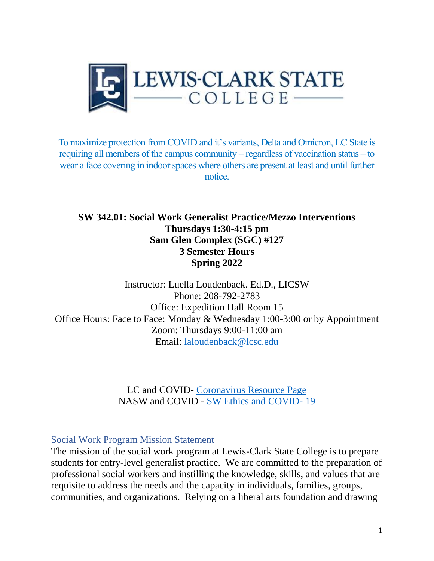

To maximize protection from COVID and it's variants, Delta and Omicron, LC State is requiring all members of the campus community – regardless of vaccination status – to wear a face covering in indoor spaces where others are present at least and until further notice.

## **SW 342.01: Social Work Generalist Practice/Mezzo Interventions Thursdays 1:30-4:15 pm Sam Glen Complex (SGC) #127 3 Semester Hours Spring 2022**

Instructor: Luella Loudenback. Ed.D., LICSW Phone: 208-792-2783 Office: Expedition Hall Room 15 Office Hours: Face to Face: Monday & Wednesday 1:00-3:00 or by Appointment Zoom: Thursdays 9:00-11:00 am Email: [laloudenback@lcsc.edu](mailto:laloudenback@lcsc.edu)

> LC and COVID- [Coronavirus Resource Page](https://www.lcsc.edu/coronavirus) NASW and COVID - [SW Ethics and COVID-](https://www.socialworkers.org/About/Ethics/Ethics-Education-and-Resources/COVID-19-Ethics-Resources) 19

#### Social Work Program Mission Statement

The mission of the social work program at Lewis-Clark State College is to prepare students for entry-level generalist practice. We are committed to the preparation of professional social workers and instilling the knowledge, skills, and values that are requisite to address the needs and the capacity in individuals, families, groups, communities, and organizations. Relying on a liberal arts foundation and drawing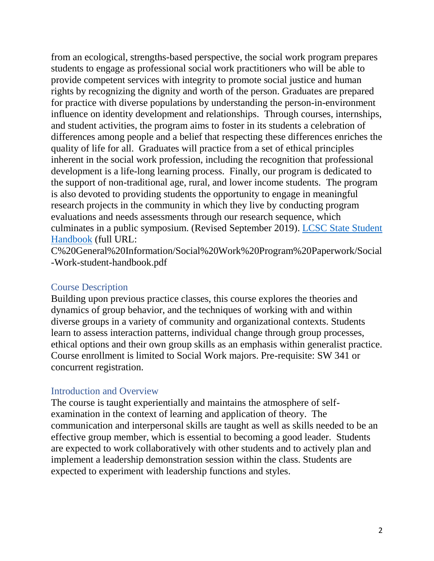from an ecological, strengths-based perspective, the social work program prepares students to engage as professional social work practitioners who will be able to provide competent services with integrity to promote social justice and human rights by recognizing the dignity and worth of the person. Graduates are prepared for practice with diverse populations by understanding the person-in-environment influence on identity development and relationships. Through courses, internships, and student activities, the program aims to foster in its students a celebration of differences among people and a belief that respecting these differences enriches the quality of life for all. Graduates will practice from a set of ethical principles inherent in the social work profession, including the recognition that professional development is a life-long learning process. Finally, our program is dedicated to the support of non-traditional age, rural, and lower income students. The program is also devoted to providing students the opportunity to engage in meaningful research projects in the community in which they live by conducting program evaluations and needs assessments through our research sequence, which culminates in a public symposium. (Revised September 2019). [LCSC State Student](file:///C:/Users/laloudenback/Desktop/LCSC%20FILES/LCSC%20General%20Information/Social%20Work%20Program%20Paperwork/Social-Work-student-handbook.pdf)  [Handbook](file:///C:/Users/laloudenback/Desktop/LCSC%20FILES/LCSC%20General%20Information/Social%20Work%20Program%20Paperwork/Social-Work-student-handbook.pdf) (full URL:

C%20General%20Information/Social%20Work%20Program%20Paperwork/Social -Work-student-handbook.pdf

#### Course Description

Building upon previous practice classes, this course explores the theories and dynamics of group behavior, and the techniques of working with and within diverse groups in a variety of community and organizational contexts. Students learn to assess interaction patterns, individual change through group processes, ethical options and their own group skills as an emphasis within generalist practice. Course enrollment is limited to Social Work majors. Pre-requisite: SW 341 or concurrent registration.

### Introduction and Overview

The course is taught experientially and maintains the atmosphere of selfexamination in the context of learning and application of theory. The communication and interpersonal skills are taught as well as skills needed to be an effective group member, which is essential to becoming a good leader. Students are expected to work collaboratively with other students and to actively plan and implement a leadership demonstration session within the class. Students are expected to experiment with leadership functions and styles.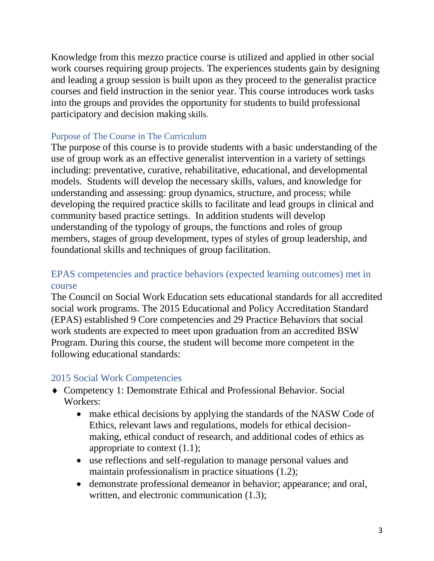Knowledge from this mezzo practice course is utilized and applied in other social work courses requiring group projects. The experiences students gain by designing and leading a group session is built upon as they proceed to the generalist practice courses and field instruction in the senior year. This course introduces work tasks into the groups and provides the opportunity for students to build professional participatory and decision making skills.

### Purpose of The Course in The Curriculum

The purpose of this course is to provide students with a basic understanding of the use of group work as an effective generalist intervention in a variety of settings including: preventative, curative, rehabilitative, educational, and developmental models. Students will develop the necessary skills, values, and knowledge for understanding and assessing: group dynamics, structure, and process; while developing the required practice skills to facilitate and lead groups in clinical and community based practice settings. In addition students will develop understanding of the typology of groups, the functions and roles of group members, stages of group development, types of styles of group leadership, and foundational skills and techniques of group facilitation.

## EPAS competencies and practice behaviors (expected learning outcomes) met in course

The Council on Social Work Education sets educational standards for all accredited social work programs. The 2015 Educational and Policy Accreditation Standard (EPAS) established 9 Core competencies and 29 Practice Behaviors that social work students are expected to meet upon graduation from an accredited BSW Program. During this course, the student will become more competent in the following educational standards:

#### 2015 Social Work Competencies

- Competency 1: Demonstrate Ethical and Professional Behavior. Social Workers:
	- make ethical decisions by applying the standards of the NASW Code of Ethics, relevant laws and regulations, models for ethical decisionmaking, ethical conduct of research, and additional codes of ethics as appropriate to context (1.1);
	- use reflections and self-regulation to manage personal values and maintain professionalism in practice situations (1.2);
	- demonstrate professional demeanor in behavior; appearance; and oral, written, and electronic communication  $(1.3)$ ;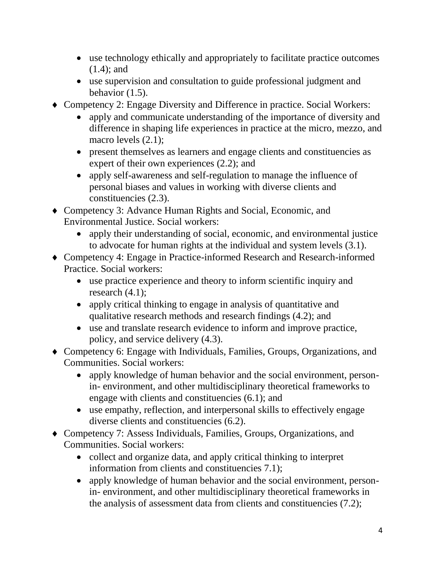- use technology ethically and appropriately to facilitate practice outcomes (1.4); and
- use supervision and consultation to guide professional judgment and behavior (1.5).
- Competency 2: Engage Diversity and Difference in practice. Social Workers:
	- apply and communicate understanding of the importance of diversity and difference in shaping life experiences in practice at the micro, mezzo, and macro levels  $(2.1)$ ;
	- present themselves as learners and engage clients and constituencies as expert of their own experiences (2.2); and
	- apply self-awareness and self-regulation to manage the influence of personal biases and values in working with diverse clients and constituencies (2.3).
- Competency 3: Advance Human Rights and Social, Economic, and Environmental Justice. Social workers:
	- apply their understanding of social, economic, and environmental justice to advocate for human rights at the individual and system levels (3.1).
- Competency 4: Engage in Practice-informed Research and Research-informed Practice. Social workers:
	- use practice experience and theory to inform scientific inquiry and research (4.1);
	- apply critical thinking to engage in analysis of quantitative and qualitative research methods and research findings (4.2); and
	- use and translate research evidence to inform and improve practice, policy, and service delivery (4.3).
- Competency 6: Engage with Individuals, Families, Groups, Organizations, and Communities. Social workers:
	- apply knowledge of human behavior and the social environment, personin- environment, and other multidisciplinary theoretical frameworks to engage with clients and constituencies (6.1); and
	- use empathy, reflection, and interpersonal skills to effectively engage diverse clients and constituencies (6.2).
- Competency 7: Assess Individuals, Families, Groups, Organizations, and Communities. Social workers:
	- collect and organize data, and apply critical thinking to interpret information from clients and constituencies 7.1);
	- apply knowledge of human behavior and the social environment, personin- environment, and other multidisciplinary theoretical frameworks in the analysis of assessment data from clients and constituencies (7.2);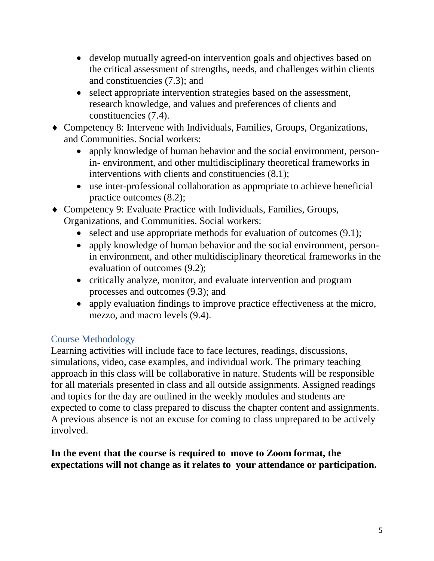- develop mutually agreed-on intervention goals and objectives based on the critical assessment of strengths, needs, and challenges within clients and constituencies (7.3); and
- select appropriate intervention strategies based on the assessment, research knowledge, and values and preferences of clients and constituencies (7.4).
- Competency 8: Intervene with Individuals, Families, Groups, Organizations, and Communities. Social workers:
	- apply knowledge of human behavior and the social environment, personin- environment, and other multidisciplinary theoretical frameworks in interventions with clients and constituencies (8.1);
	- use inter-professional collaboration as appropriate to achieve beneficial practice outcomes (8.2);
- Competency 9: Evaluate Practice with Individuals, Families, Groups, Organizations, and Communities. Social workers:
	- select and use appropriate methods for evaluation of outcomes (9.1);
	- apply knowledge of human behavior and the social environment, personin environment, and other multidisciplinary theoretical frameworks in the evaluation of outcomes (9.2);
	- critically analyze, monitor, and evaluate intervention and program processes and outcomes (9.3); and
	- apply evaluation findings to improve practice effectiveness at the micro, mezzo, and macro levels (9.4).

# Course Methodology

Learning activities will include face to face lectures, readings, discussions, simulations, video, case examples, and individual work. The primary teaching approach in this class will be collaborative in nature. Students will be responsible for all materials presented in class and all outside assignments. Assigned readings and topics for the day are outlined in the weekly modules and students are expected to come to class prepared to discuss the chapter content and assignments. A previous absence is not an excuse for coming to class unprepared to be actively involved.

## **In the event that the course is required to move to Zoom format, the expectations will not change as it relates to your attendance or participation.**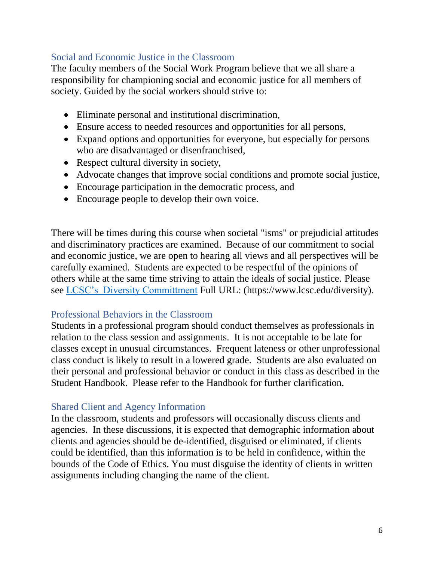## Social and Economic Justice in the Classroom

The faculty members of the Social Work Program believe that we all share a responsibility for championing social and economic justice for all members of society. Guided by the social workers should strive to:

- Eliminate personal and institutional discrimination,
- Ensure access to needed resources and opportunities for all persons,
- Expand options and opportunities for everyone, but especially for persons who are disadvantaged or disenfranchised,
- Respect cultural diversity in society,
- Advocate changes that improve social conditions and promote social justice,
- Encourage participation in the democratic process, and
- Encourage people to develop their own voice.

There will be times during this course when societal "isms" or prejudicial attitudes and discriminatory practices are examined. Because of our commitment to social and economic justice, we are open to hearing all views and all perspectives will be carefully examined. Students are expected to be respectful of the opinions of others while at the same time striving to attain the ideals of social justice. Please see [LCSC's Diversity Committment](http://www.lcsc.edu/diversity/) Full URL: (https://www.lcsc.edu/diversity).

#### Professional Behaviors in the Classroom

Students in a professional program should conduct themselves as professionals in relation to the class session and assignments. It is not acceptable to be late for classes except in unusual circumstances. Frequent lateness or other unprofessional class conduct is likely to result in a lowered grade. Students are also evaluated on their personal and professional behavior or conduct in this class as described in the Student Handbook. Please refer to the Handbook for further clarification.

### Shared Client and Agency Information

In the classroom, students and professors will occasionally discuss clients and agencies. In these discussions, it is expected that demographic information about clients and agencies should be de-identified, disguised or eliminated, if clients could be identified, than this information is to be held in confidence, within the bounds of the Code of Ethics. You must disguise the identity of clients in written assignments including changing the name of the client.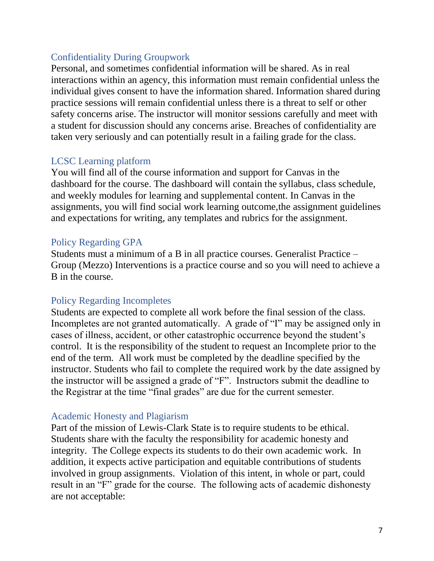### Confidentiality During Groupwork

Personal, and sometimes confidential information will be shared. As in real interactions within an agency, this information must remain confidential unless the individual gives consent to have the information shared. Information shared during practice sessions will remain confidential unless there is a threat to self or other safety concerns arise. The instructor will monitor sessions carefully and meet with a student for discussion should any concerns arise. Breaches of confidentiality are taken very seriously and can potentially result in a failing grade for the class.

#### LCSC Learning platform

You will find all of the course information and support for Canvas in the dashboard for the course. The dashboard will contain the syllabus, class schedule, and weekly modules for learning and supplemental content. In Canvas in the assignments, you will find social work learning outcome,the assignment guidelines and expectations for writing, any templates and rubrics for the assignment.

#### Policy Regarding GPA

Students must a minimum of a B in all practice courses. Generalist Practice – Group (Mezzo) Interventions is a practice course and so you will need to achieve a B in the course.

#### Policy Regarding Incompletes

Students are expected to complete all work before the final session of the class. Incompletes are not granted automatically. A grade of "I" may be assigned only in cases of illness, accident, or other catastrophic occurrence beyond the student's control. It is the responsibility of the student to request an Incomplete prior to the end of the term. All work must be completed by the deadline specified by the instructor. Students who fail to complete the required work by the date assigned by the instructor will be assigned a grade of "F". Instructors submit the deadline to the Registrar at the time "final grades" are due for the current semester.

#### Academic Honesty and Plagiarism

Part of the mission of Lewis-Clark State is to require students to be ethical. Students share with the faculty the responsibility for academic honesty and integrity. The College expects its students to do their own academic work. In addition, it expects active participation and equitable contributions of students involved in group assignments. Violation of this intent, in whole or part, could result in an "F" grade for the course. The following acts of academic dishonesty are not acceptable: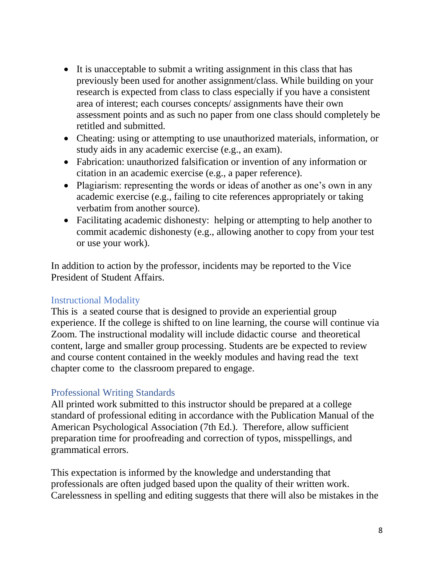- It is unacceptable to submit a writing assignment in this class that has previously been used for another assignment/class. While building on your research is expected from class to class especially if you have a consistent area of interest; each courses concepts/ assignments have their own assessment points and as such no paper from one class should completely be retitled and submitted.
- Cheating: using or attempting to use unauthorized materials, information, or study aids in any academic exercise (e.g., an exam).
- Fabrication: unauthorized falsification or invention of any information or citation in an academic exercise (e.g., a paper reference).
- Plagiarism: representing the words or ideas of another as one's own in any academic exercise (e.g., failing to cite references appropriately or taking verbatim from another source).
- Facilitating academic dishonesty: helping or attempting to help another to commit academic dishonesty (e.g., allowing another to copy from your test or use your work).

In addition to action by the professor, incidents may be reported to the Vice President of Student Affairs.

### Instructional Modality

This is a seated course that is designed to provide an experiential group experience. If the college is shifted to on line learning, the course will continue via Zoom. The instructional modality will include didactic course and theoretical content, large and smaller group processing. Students are be expected to review and course content contained in the weekly modules and having read the text chapter come to the classroom prepared to engage.

### Professional Writing Standards

All printed work submitted to this instructor should be prepared at a college standard of professional editing in accordance with the Publication Manual of the American Psychological Association (7th Ed.). Therefore, allow sufficient preparation time for proofreading and correction of typos, misspellings, and grammatical errors.

This expectation is informed by the knowledge and understanding that professionals are often judged based upon the quality of their written work. Carelessness in spelling and editing suggests that there will also be mistakes in the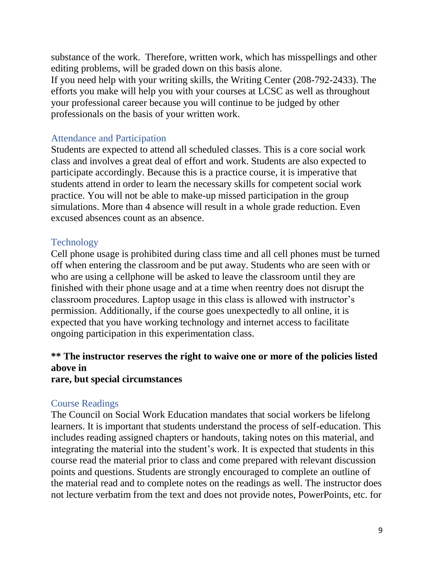substance of the work. Therefore, written work, which has misspellings and other editing problems, will be graded down on this basis alone. If you need help with your writing skills, the Writing Center (208-792-2433). The efforts you make will help you with your courses at LCSC as well as throughout your professional career because you will continue to be judged by other professionals on the basis of your written work.

### Attendance and Participation

Students are expected to attend all scheduled classes. This is a core social work class and involves a great deal of effort and work. Students are also expected to participate accordingly. Because this is a practice course, it is imperative that students attend in order to learn the necessary skills for competent social work practice. You will not be able to make-up missed participation in the group simulations. More than 4 absence will result in a whole grade reduction. Even excused absences count as an absence.

## Technology

Cell phone usage is prohibited during class time and all cell phones must be turned off when entering the classroom and be put away. Students who are seen with or who are using a cellphone will be asked to leave the classroom until they are finished with their phone usage and at a time when reentry does not disrupt the classroom procedures. Laptop usage in this class is allowed with instructor's permission. Additionally, if the course goes unexpectedly to all online, it is expected that you have working technology and internet access to facilitate ongoing participation in this experimentation class.

# **\*\* The instructor reserves the right to waive one or more of the policies listed above in**

#### **rare, but special circumstances**

### Course Readings

The Council on Social Work Education mandates that social workers be lifelong learners. It is important that students understand the process of self-education. This includes reading assigned chapters or handouts, taking notes on this material, and integrating the material into the student's work. It is expected that students in this course read the material prior to class and come prepared with relevant discussion points and questions. Students are strongly encouraged to complete an outline of the material read and to complete notes on the readings as well. The instructor does not lecture verbatim from the text and does not provide notes, PowerPoints, etc. for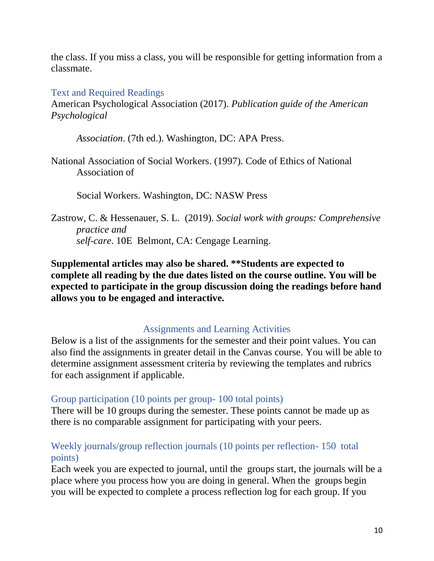the class. If you miss a class, you will be responsible for getting information from a classmate.

Text and Required Readings American Psychological Association (2017). *Publication guide of the American Psychological* 

*Association*. (7th ed.). Washington, DC: APA Press.

National Association of Social Workers. (1997). Code of Ethics of National Association of

Social Workers. Washington, DC: NASW Press

Zastrow, C. & Hessenauer, S. L. (2019). *Social work with groups: Comprehensive practice and self-care*. 10E Belmont, CA: Cengage Learning.

**Supplemental articles may also be shared. \*\*Students are expected to complete all reading by the due dates listed on the course outline. You will be expected to participate in the group discussion doing the readings before hand allows you to be engaged and interactive.** 

#### Assignments and Learning Activities

Below is a list of the assignments for the semester and their point values. You can also find the assignments in greater detail in the Canvas course. You will be able to determine assignment assessment criteria by reviewing the templates and rubrics for each assignment if applicable.

#### Group participation (10 points per group- 100 total points)

There will be 10 groups during the semester. These points cannot be made up as there is no comparable assignment for participating with your peers.

### Weekly journals/group reflection journals (10 points per reflection- 150 total points)

Each week you are expected to journal, until the groups start, the journals will be a place where you process how you are doing in general. When the groups begin you will be expected to complete a process reflection log for each group. If you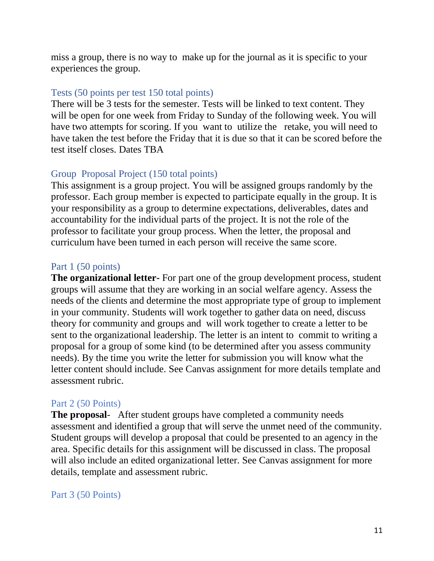miss a group, there is no way to make up for the journal as it is specific to your experiences the group.

#### Tests (50 points per test 150 total points)

There will be 3 tests for the semester. Tests will be linked to text content. They will be open for one week from Friday to Sunday of the following week. You will have two attempts for scoring. If you want to utilize the retake, you will need to have taken the test before the Friday that it is due so that it can be scored before the test itself closes. Dates TBA

### Group Proposal Project (150 total points)

This assignment is a group project. You will be assigned groups randomly by the professor. Each group member is expected to participate equally in the group. It is your responsibility as a group to determine expectations, deliverables, dates and accountability for the individual parts of the project. It is not the role of the professor to facilitate your group process. When the letter, the proposal and curriculum have been turned in each person will receive the same score.

#### Part 1 (50 points)

**The organizational letter-** For part one of the group development process, student groups will assume that they are working in an social welfare agency. Assess the needs of the clients and determine the most appropriate type of group to implement in your community. Students will work together to gather data on need, discuss theory for community and groups and will work together to create a letter to be sent to the organizational leadership. The letter is an intent to commit to writing a proposal for a group of some kind (to be determined after you assess community needs). By the time you write the letter for submission you will know what the letter content should include. See Canvas assignment for more details template and assessment rubric.

#### Part 2 (50 Points)

**The proposal**- After student groups have completed a community needs assessment and identified a group that will serve the unmet need of the community. Student groups will develop a proposal that could be presented to an agency in the area. Specific details for this assignment will be discussed in class. The proposal will also include an edited organizational letter. See Canvas assignment for more details, template and assessment rubric.

### Part 3 (50 Points)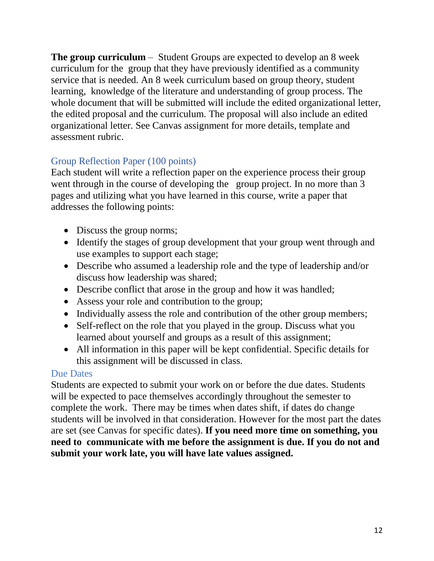**The group curriculum** – Student Groups are expected to develop an 8 week curriculum for the group that they have previously identified as a community service that is needed. An 8 week curriculum based on group theory, student learning, knowledge of the literature and understanding of group process. The whole document that will be submitted will include the edited organizational letter, the edited proposal and the curriculum. The proposal will also include an edited organizational letter. See Canvas assignment for more details, template and assessment rubric.

# Group Reflection Paper (100 points)

Each student will write a reflection paper on the experience process their group went through in the course of developing the group project. In no more than 3 pages and utilizing what you have learned in this course, write a paper that addresses the following points:

- Discuss the group norms;
- Identify the stages of group development that your group went through and use examples to support each stage;
- Describe who assumed a leadership role and the type of leadership and/or discuss how leadership was shared;
- Describe conflict that arose in the group and how it was handled;
- Assess your role and contribution to the group;
- Individually assess the role and contribution of the other group members;
- Self-reflect on the role that you played in the group. Discuss what you learned about yourself and groups as a result of this assignment;
- All information in this paper will be kept confidential. Specific details for this assignment will be discussed in class.

#### Due Dates

Students are expected to submit your work on or before the due dates. Students will be expected to pace themselves accordingly throughout the semester to complete the work. There may be times when dates shift, if dates do change students will be involved in that consideration. However for the most part the dates are set (see Canvas for specific dates). **If you need more time on something, you need to communicate with me before the assignment is due. If you do not and submit your work late, you will have late values assigned.**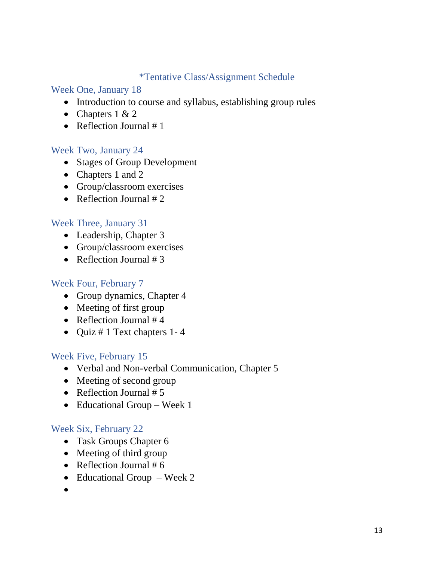### \*Tentative Class/Assignment Schedule

#### Week One, January 18

- Introduction to course and syllabus, establishing group rules
- Chapters  $1 & 2$
- Reflection Journal #1

#### Week Two, January 24

- Stages of Group Development
- Chapters 1 and 2
- Group/classroom exercises
- Reflection Journal  $# 2$

#### Week Three, January 31

- Leadership, Chapter 3
- Group/classroom exercises
- Reflection Journal  $# 3$

#### Week Four, February 7

- Group dynamics, Chapter 4
- Meeting of first group
- Reflection Journal  $#4$
- Quiz # 1 Text chapters 1-4

### Week Five, February 15

- Verbal and Non-verbal Communication, Chapter 5
- Meeting of second group
- Reflection Journal  $# 5$
- Educational Group Week 1

### Week Six, February 22

- Task Groups Chapter 6
- Meeting of third group
- Reflection Journal  $# 6$
- Educational Group Week 2
- •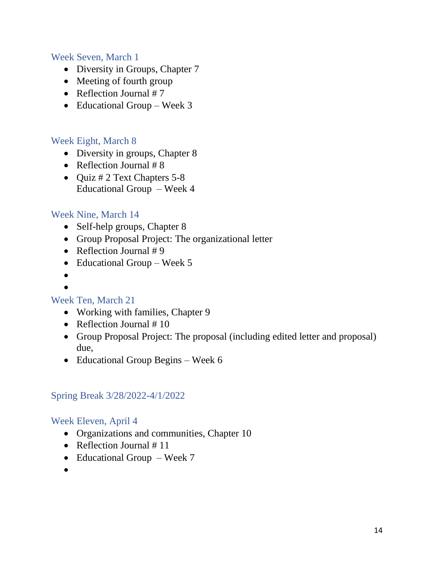### Week Seven, March 1

- Diversity in Groups, Chapter 7
- Meeting of fourth group
- Reflection Journal #7
- Educational Group Week 3

### Week Eight, March 8

- Diversity in groups, Chapter 8
- Reflection Journal  $# 8$
- Quiz # 2 Text Chapters 5-8 Educational Group – Week 4

### Week Nine, March 14

- Self-help groups, Chapter 8
- Group Proposal Project: The organizational letter
- Reflection Journal #9
- Educational Group Week 5
- $\bullet$
- •

### Week Ten, March 21

- Working with families, Chapter 9
- Reflection Journal #10
- Group Proposal Project: The proposal (including edited letter and proposal) due,
- Educational Group Begins Week 6

#### Spring Break 3/28/2022-4/1/2022

### Week Eleven, April 4

- Organizations and communities, Chapter 10
- Reflection Journal #11
- Educational Group Week 7
- •